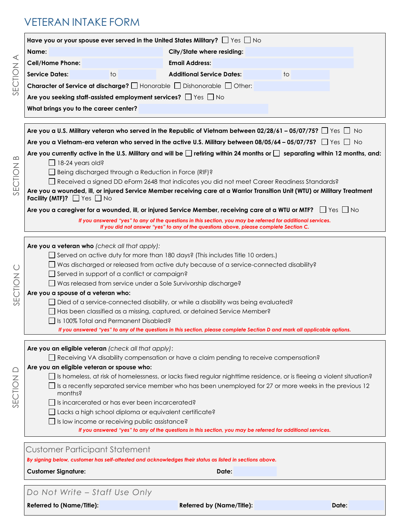# VETERAN INTAKE FORM

|                                                                                                                             | Have you or your spouse ever served in the United States Military? $\Box$ Yes $\Box$ No                                                                                                                                                                                                                                                                            |       |
|-----------------------------------------------------------------------------------------------------------------------------|--------------------------------------------------------------------------------------------------------------------------------------------------------------------------------------------------------------------------------------------------------------------------------------------------------------------------------------------------------------------|-------|
| Name:                                                                                                                       | City/State where residing:                                                                                                                                                                                                                                                                                                                                         |       |
| <b>Cell/Home Phone:</b>                                                                                                     | <b>Email Address:</b>                                                                                                                                                                                                                                                                                                                                              |       |
| <b>Service Dates:</b><br>to                                                                                                 | <b>Additional Service Dates:</b>                                                                                                                                                                                                                                                                                                                                   | to    |
|                                                                                                                             | <b>Character of Service at discharge?</b> $\Box$ Honorable $\Box$ Dishonorable $\Box$ Other:                                                                                                                                                                                                                                                                       |       |
| Are you seeking staff-assisted employment services? Thes Tho                                                                |                                                                                                                                                                                                                                                                                                                                                                    |       |
| What brings you to the career center?                                                                                       |                                                                                                                                                                                                                                                                                                                                                                    |       |
|                                                                                                                             | Are you a U.S. Military veteran who served in the Republic of Vietnam between 02/28/61 – 05/07/75? $\Box$ Yes $\Box$ No                                                                                                                                                                                                                                            |       |
|                                                                                                                             | Are you a Vietnam-era veteran who served in the active U.S. Military between 08/05/64 – 05/07/75? $\Box$ Yes $\Box$ No                                                                                                                                                                                                                                             |       |
| $\Box$ 18-24 years old?<br>Being discharged through a Reduction in Force (RIF)?<br>Facility (MTF)? $\Box$ Yes $\Box$ No     | Are you currently active in the U.S. Military and will be $\Box$ retiring within 24 months or $\Box$ separating within 12 months, and:<br>Received a signed DD eForm 2648 that indicates you did not meet Career Readiness Standards?<br>Are you a wounded, ill, or injured Service Member receiving care at a Warrior Transition Unit (WTU) or Military Treatment |       |
|                                                                                                                             |                                                                                                                                                                                                                                                                                                                                                                    |       |
|                                                                                                                             | Are you a caregiver for a wounded, ill, or injured Service Member, receiving care at a WTU or MTF? $\Box$ Yes $\Box$ No                                                                                                                                                                                                                                            |       |
|                                                                                                                             | If you answered "yes" to any of the questions in this section, you may be referred for additional services.<br>If you did not answer "yes" to any of the questions above, please complete Section C.                                                                                                                                                               |       |
| Served in support of a conflict or campaign?<br>Are you a spouse of a veteran who:<br>Is 100% Total and Permanent Disabled? | □ Was released from service under a Sole Survivorship discharge?<br>□ Died of a service-connected disability, or while a disability was being evaluated?<br>Has been classified as a missing, captured, or detained Service Member?<br>If you answered "yes" to any of the questions in this section, please complete Section D and mark all applicable options    |       |
|                                                                                                                             |                                                                                                                                                                                                                                                                                                                                                                    |       |
| Are you an eligible veteran (check all that apply):                                                                         | $\Box$ Receiving VA disability compensation or have a claim pending to receive compensation?                                                                                                                                                                                                                                                                       |       |
| Are you an eligible veteran or spouse who:                                                                                  |                                                                                                                                                                                                                                                                                                                                                                    |       |
|                                                                                                                             | □ Is homeless, at risk of homelessness, or lacks fixed regular nighttime residence, or is fleeing a violent situation?<br>Is a recently separated service member who has been unemployed for 27 or more weeks in the previous 12                                                                                                                                   |       |
| months?                                                                                                                     |                                                                                                                                                                                                                                                                                                                                                                    |       |
| Is incarcerated or has ever been incarcerated?                                                                              |                                                                                                                                                                                                                                                                                                                                                                    |       |
| Lacks a high school diploma or equivalent certificate?<br>□ Is low income or receiving public assistance?                   |                                                                                                                                                                                                                                                                                                                                                                    |       |
|                                                                                                                             | If you answered "yes" to any of the questions in this section, you may be referred for additional services.                                                                                                                                                                                                                                                        |       |
|                                                                                                                             |                                                                                                                                                                                                                                                                                                                                                                    |       |
| Customer Participant Statement                                                                                              |                                                                                                                                                                                                                                                                                                                                                                    |       |
|                                                                                                                             | By signing below, customer has self-attested and acknowledges their status as listed in sections above.                                                                                                                                                                                                                                                            |       |
| <b>Customer Signature:</b>                                                                                                  | Date:                                                                                                                                                                                                                                                                                                                                                              |       |
|                                                                                                                             |                                                                                                                                                                                                                                                                                                                                                                    |       |
| Do Not Write - Staff Use Only                                                                                               |                                                                                                                                                                                                                                                                                                                                                                    |       |
| <b>Referred to (Name/Title):</b>                                                                                            | <b>Referred by (Name/Title):</b>                                                                                                                                                                                                                                                                                                                                   | Date: |